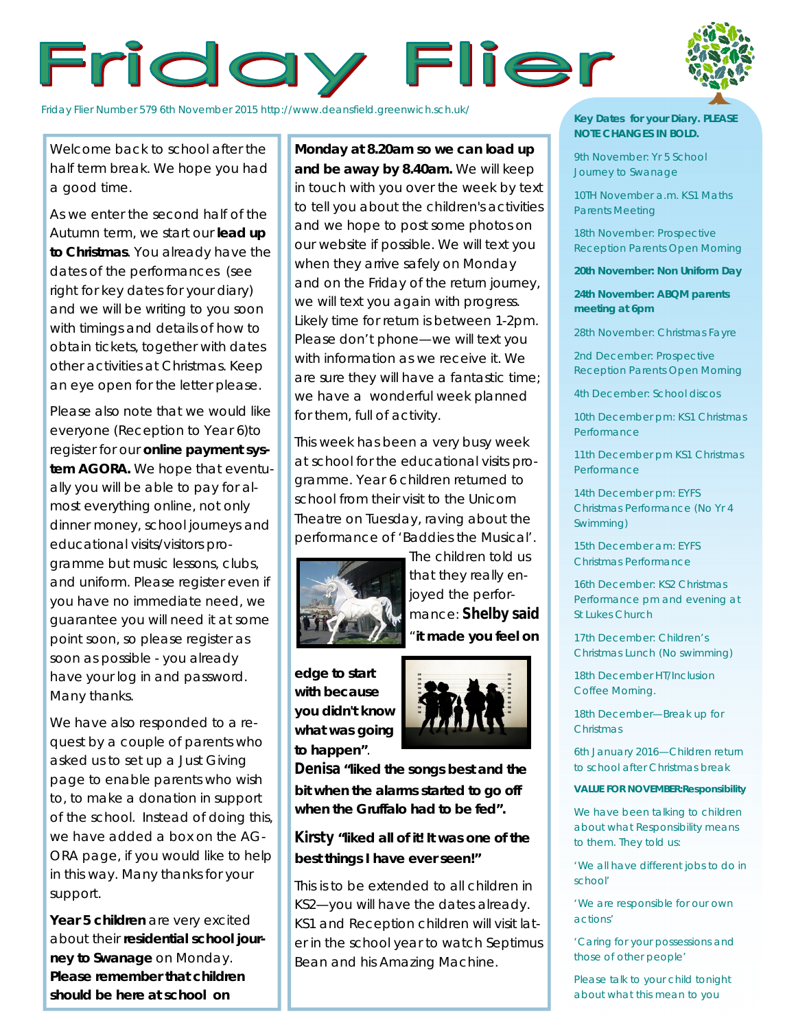# Friday Flier



Friday Flier Number 579 6th November 2015 http://www.deansfield.greenwich.sch.uk/

Welcome back to school after the half term break. We hope you had a good time.

As we enter the second half of the Autumn term, we start our **lead up to Christmas**. You already have the dates of the performances (see right for key dates for your diary) and we will be writing to you soon with timings and details of how to obtain tickets, together with dates other activities at Christmas. Keep an eye open for the letter please.

Please also note that we would like everyone (Reception to Year 6)to register for our **online payment system AGORA.** We hope that eventually you will be able to pay for almost everything online, not only dinner money, school journeys and educational visits/visitors programme but music lessons, clubs, and uniform. Please register even if you have no immediate need, we guarantee you will need it at some point soon, so please register as soon as possible - you already have your log in and password. Many thanks.

We have also responded to a request by a couple of parents who asked us to set up a Just Giving page to enable parents who wish to, to make a donation in support of the school. Instead of doing this, we have added a box on the AG-ORA page, if you would like to help in this way. Many thanks for your support.

**Year 5 children** are very excited about their **residential school journey to Swanage** on Monday. **Please remember that children should be here at school on** 

**Monday at 8.20am so we can load up and be away by 8.40am.** We will keep in touch with you over the week by text to tell you about the children's activities and we hope to post some photos on our website if possible. We will text you when they arrive safely on Monday and on the Friday of the return journey, we will text you again with progress. Likely time for return is between 1-2pm. Please don't phone—we will text you with information as we receive it. We are sure they will have a fantastic time; we have a wonderful week planned for them, full of activity.

This week has been a very busy week at school for the educational visits programme. Year 6 children returned to school from their visit to the Unicorn Theatre on Tuesday, raving about the performance of 'Baddies the Musical'.



The children told us that they really enjoyed the performance: **Shelby said**  "**it made you feel on** 

**edge to start with because you didn't know what was going to happen"**.



**Denisa "liked the songs best and the bit when the alarms started to go off when the Gruffalo had to be fed".**

# **Kirsty "liked all of it! It was one of the best things I have ever seen!"**

This is to be extended to all children in KS2—you will have the dates already. KS1 and Reception children will visit later in the school year to watch Septimus Bean and his Amazing Machine.

### **Key Dates for your Diary. PLEASE NOTE CHANGES IN BOLD.**

9th November: Yr 5 School Journey to Swanage

10TH November a.m. KS1 Maths Parents Meeting

18th November: Prospective Reception Parents Open Morning

**20th November: Non Uniform Day**

**24th November: ABQM parents meeting at 6pm**

28th November: Christmas Fayre

2nd December: Prospective Reception Parents Open Morning

4th December: School discos

10th December pm: KS1 Christmas Performance

11th December pm KS1 Christmas **Performance** 

14th December pm: EYFS Christmas Performance (No Yr 4 Swimming)

15th December am: EYFS Christmas Performance

16th December: KS2 Christmas Performance pm and evening at St Lukes Church

17th December: Children's Christmas Lunch (No swimming)

18th December HT/Inclusion Coffee Morning.

18th December—Break up for **Christmas** 

6th January 2016—Children return to school after Christmas break

#### **VALUE FOR NOVEMBER:Responsibility**

We have been talking to children about what Responsibility means to them. They told us:

'We all have different jobs to do in school'

'We are responsible for our own actions'

'Caring for your possessions and those of other people'

Please talk to your child tonight about what this mean to you